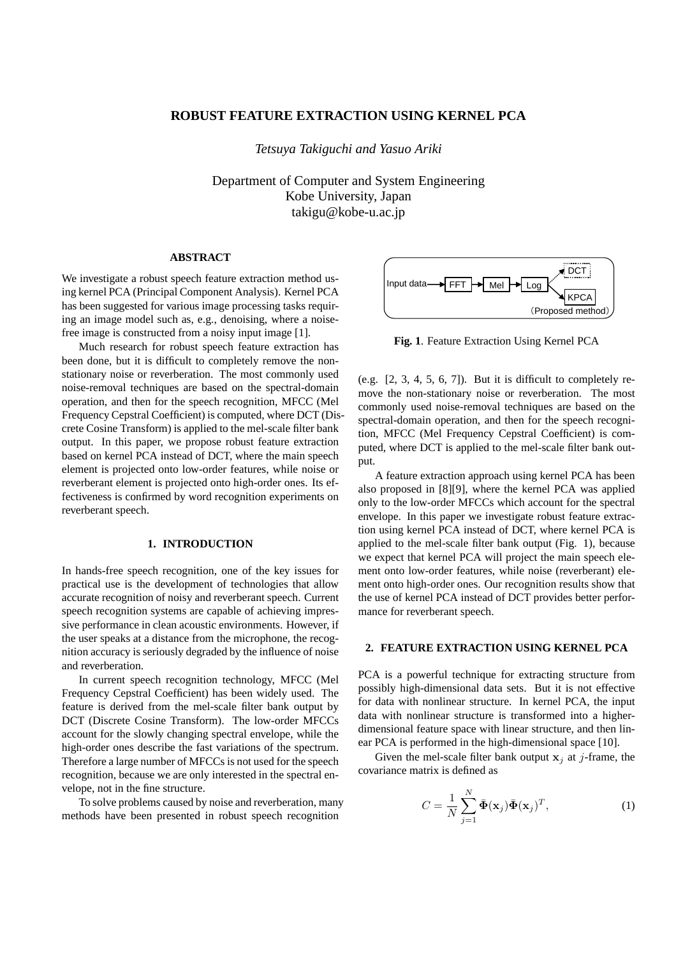# **ROBUST FEATURE EXTRACTION USING KERNEL PCA**

*Tetsuya Takiguchi and Yasuo Ariki*

Department of Computer and System Engineering Kobe University, Japan takigu@kobe-u.ac.jp

# **ABSTRACT**

We investigate a robust speech feature extraction method using kernel PCA (Principal Component Analysis). Kernel PCA has been suggested for various image processing tasks requiring an image model such as, e.g., denoising, where a noisefree image is constructed from a noisy input image [1].

Much research for robust speech feature extraction has been done, but it is difficult to completely remove the nonstationary noise or reverberation. The most commonly used noise-removal techniques are based on the spectral-domain operation, and then for the speech recognition, MFCC (Mel Frequency Cepstral Coefficient) is computed, where DCT (Discrete Cosine Transform) is applied to the mel-scale filter bank output. In this paper, we propose robust feature extraction based on kernel PCA instead of DCT, where the main speech element is projected onto low-order features, while noise or reverberant element is projected onto high-order ones. Its effectiveness is confirmed by word recognition experiments on reverberant speech.

### **1. INTRODUCTION**

In hands-free speech recognition, one of the key issues for practical use is the development of technologies that allow accurate recognition of noisy and reverberant speech. Current speech recognition systems are capable of achieving impressive performance in clean acoustic environments. However, if the user speaks at a distance from the microphone, the recognition accuracy is seriously degraded by the influence of noise and reverberation.

In current speech recognition technology, MFCC (Mel Frequency Cepstral Coefficient) has been widely used. The feature is derived from the mel-scale filter bank output by DCT (Discrete Cosine Transform). The low-order MFCCs account for the slowly changing spectral envelope, while the high-order ones describe the fast variations of the spectrum. Therefore a large number of MFCCs is not used for the speech recognition, because we are only interested in the spectral envelope, not in the fine structure.

To solve problems caused by noise and reverberation, many methods have been presented in robust speech recognition



**Fig. 1**. Feature Extraction Using Kernel PCA

(e.g.  $[2, 3, 4, 5, 6, 7]$ ). But it is difficult to completely remove the non-stationary noise or reverberation. The most commonly used noise-removal techniques are based on the spectral-domain operation, and then for the speech recognition, MFCC (Mel Frequency Cepstral Coefficient) is computed, where DCT is applied to the mel-scale filter bank output.

A feature extraction approach using kernel PCA has been also proposed in [8][9], where the kernel PCA was applied only to the low-order MFCCs which account for the spectral envelope. In this paper we investigate robust feature extraction using kernel PCA instead of DCT, where kernel PCA is applied to the mel-scale filter bank output (Fig. 1), because we expect that kernel PCA will project the main speech element onto low-order features, while noise (reverberant) element onto high-order ones. Our recognition results show that the use of kernel PCA instead of DCT provides better performance for reverberant speech.

#### **2. FEATURE EXTRACTION USING KERNEL PCA**

PCA is a powerful technique for extracting structure from possibly high-dimensional data sets. But it is not effective for data with nonlinear structure. In kernel PCA, the input data with nonlinear structure is transformed into a higherdimensional feature space with linear structure, and then linear PCA is performed in the high-dimensional space [10].

Given the mel-scale filter bank output  $x_i$  at j-frame, the covariance matrix is defined as

$$
C = \frac{1}{N} \sum_{j=1}^{N} \bar{\Phi}(\mathbf{x}_j) \bar{\Phi}(\mathbf{x}_j)^T,
$$
 (1)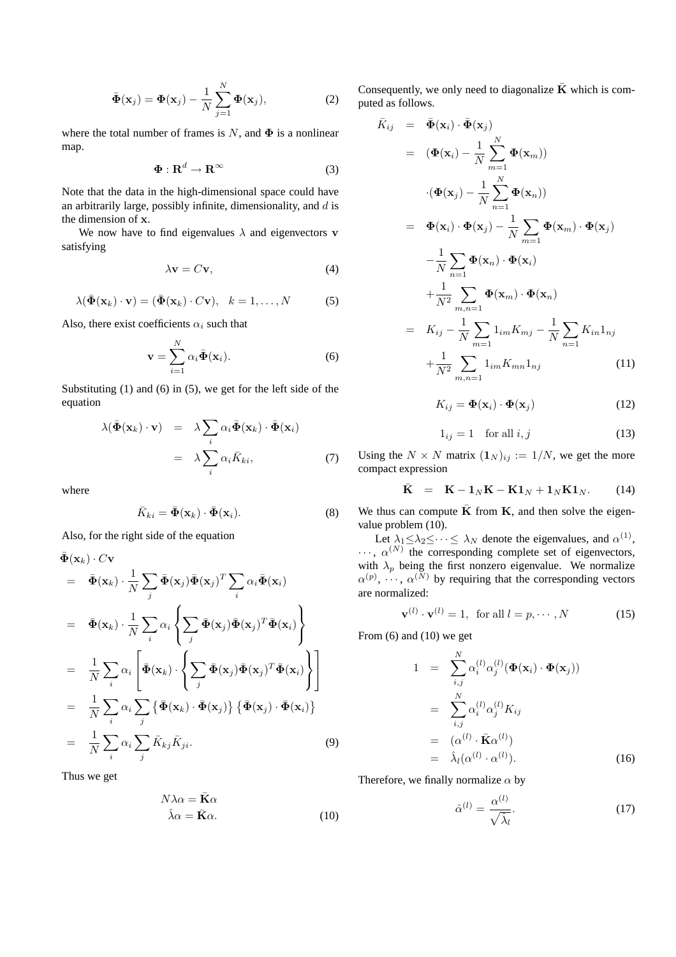$$
\bar{\mathbf{\Phi}}(\mathbf{x}_j) = \mathbf{\Phi}(\mathbf{x}_j) - \frac{1}{N} \sum_{j=1}^{N} \mathbf{\Phi}(\mathbf{x}_j),
$$
 (2)

where the total number of frames is N, and  $\Phi$  is a nonlinear map.

$$
\Phi: \mathbf{R}^d \to \mathbf{R}^\infty \tag{3}
$$

Note that the data in the high-dimensional space could have an arbitrarily large, possibly infinite, dimensionality, and  $d$  is the dimension of x.

We now have to find eigenvalues  $\lambda$  and eigenvectors v satisfying

$$
\lambda \mathbf{v} = C \mathbf{v},\tag{4}
$$

$$
\lambda(\bar{\mathbf{\Phi}}(\mathbf{x}_k)\cdot\mathbf{v})=(\bar{\mathbf{\Phi}}(\mathbf{x}_k)\cdot C\mathbf{v}),\ \ k=1,\ldots,N
$$
 (5)

Also, there exist coefficients  $\alpha_i$  such that

$$
\mathbf{v} = \sum_{i=1}^{N} \alpha_i \bar{\mathbf{\Phi}}(\mathbf{x}_i).
$$
 (6)

Substituting (1) and (6) in (5), we get for the left side of the equation

$$
\lambda(\bar{\Phi}(\mathbf{x}_k) \cdot \mathbf{v}) = \lambda \sum_{i} \alpha_i \bar{\Phi}(\mathbf{x}_k) \cdot \bar{\Phi}(\mathbf{x}_i)
$$

$$
= \lambda \sum_{i} \alpha_i \bar{K}_{ki}, \tag{7}
$$

where

$$
\bar{K}_{ki} = \bar{\mathbf{\Phi}}(\mathbf{x}_k) \cdot \bar{\mathbf{\Phi}}(\mathbf{x}_i). \tag{8}
$$

Also, for the right side of the equation

$$
\begin{split}\n\bar{\Phi}(\mathbf{x}_{k}) \cdot C\mathbf{v} \\
&= \bar{\Phi}(\mathbf{x}_{k}) \cdot \frac{1}{N} \sum_{j} \bar{\Phi}(\mathbf{x}_{j}) \bar{\Phi}(\mathbf{x}_{j})^{T} \sum_{i} \alpha_{i} \bar{\Phi}(\mathbf{x}_{i}) \\
&= \bar{\Phi}(\mathbf{x}_{k}) \cdot \frac{1}{N} \sum_{i} \alpha_{i} \left\{ \sum_{j} \bar{\Phi}(\mathbf{x}_{j}) \bar{\Phi}(\mathbf{x}_{j})^{T} \bar{\Phi}(\mathbf{x}_{i}) \right\} \\
&= \frac{1}{N} \sum_{i} \alpha_{i} \left[ \bar{\Phi}(\mathbf{x}_{k}) \cdot \left\{ \sum_{j} \bar{\Phi}(\mathbf{x}_{j}) \bar{\Phi}(\mathbf{x}_{j})^{T} \bar{\Phi}(\mathbf{x}_{i}) \right\} \right] \\
&= \frac{1}{N} \sum_{i} \alpha_{i} \sum_{j} \left\{ \bar{\Phi}(\mathbf{x}_{k}) \cdot \bar{\Phi}(\mathbf{x}_{j}) \right\} \left\{ \bar{\Phi}(\mathbf{x}_{j}) \cdot \bar{\Phi}(\mathbf{x}_{i}) \right\} \\
&= \frac{1}{N} \sum_{i} \alpha_{i} \sum_{j} \bar{K}_{kj} \bar{K}_{ji}.\n\end{split} \tag{9}
$$

Thus we get

$$
N\lambda\alpha = \bar{\mathbf{K}}\alpha
$$
  

$$
\hat{\lambda}\alpha = \bar{\mathbf{K}}\alpha.
$$
 (10)

Consequently, we only need to diagonalize  $\overline{K}$  which is computed as follows.

$$
\bar{K}_{ij} = \bar{\Phi}(\mathbf{x}_i) \cdot \bar{\Phi}(\mathbf{x}_j)
$$
\n
$$
= (\Phi(\mathbf{x}_i) - \frac{1}{N} \sum_{m=1}^{N} \Phi(\mathbf{x}_m))
$$
\n
$$
\cdot (\Phi(\mathbf{x}_j) - \frac{1}{N} \sum_{n=1}^{N} \Phi(\mathbf{x}_n))
$$
\n
$$
= \Phi(\mathbf{x}_i) \cdot \Phi(\mathbf{x}_j) - \frac{1}{N} \sum_{m=1}^{N} \Phi(\mathbf{x}_m) \cdot \Phi(\mathbf{x}_j)
$$
\n
$$
- \frac{1}{N} \sum_{n=1}^{N} \Phi(\mathbf{x}_n) \cdot \Phi(\mathbf{x}_i)
$$
\n
$$
+ \frac{1}{N^2} \sum_{m,n=1}^{N} \Phi(\mathbf{x}_m) \cdot \Phi(\mathbf{x}_n)
$$
\n
$$
= K_{ij} - \frac{1}{N} \sum_{m=1}^{N} \lim_{m,n=1}^{N} K_{mj} - \frac{1}{N} \sum_{n=1}^{N} K_{in} \mathbf{1}_{nj}
$$
\n
$$
+ \frac{1}{N^2} \sum_{m,n=1}^{N} \lim_{m,n=1}^{N} K_{mn} \mathbf{1}_{nj}
$$
\n(11)

$$
K_{ij} = \mathbf{\Phi}(\mathbf{x}_i) \cdot \mathbf{\Phi}(\mathbf{x}_j)
$$
 (12)

$$
1_{ij} = 1 \quad \text{for all } i, j \tag{13}
$$

Using the  $N \times N$  matrix  $(1_N)_{ij} := 1/N$ , we get the more compact expression

$$
\bar{\mathbf{K}} = \mathbf{K} - \mathbf{1}_N \mathbf{K} - \mathbf{K} \mathbf{1}_N + \mathbf{1}_N \mathbf{K} \mathbf{1}_N. \tag{14}
$$

We thus can compute  $\bar{K}$  from K, and then solve the eigenvalue problem (10).

Let  $\lambda_1 \leq \lambda_2 \leq \cdots \leq \lambda_N$  denote the eigenvalues, and  $\alpha^{(1)}$ ,  $\cdots$ ,  $\alpha^{(N)}$  the corresponding complete set of eigenvectors, with  $\lambda_p$  being the first nonzero eigenvalue. We normalize  $\alpha^{(p)}, \dots, \alpha^{(N)}$  by requiring that the corresponding vectors are normalized:

$$
\mathbf{v}^{(l)} \cdot \mathbf{v}^{(l)} = 1, \text{ for all } l = p, \cdots, N \tag{15}
$$

From  $(6)$  and  $(10)$  we get

$$
1 = \sum_{i,j}^{N} \alpha_i^{(l)} \alpha_j^{(l)} (\mathbf{\Phi}(\mathbf{x}_i) \cdot \mathbf{\Phi}(\mathbf{x}_j))
$$
  
\n
$$
= \sum_{i,j}^{N} \alpha_i^{(l)} \alpha_j^{(l)} K_{ij}
$$
  
\n
$$
= (\alpha^{(l)} \cdot \mathbf{\bar{K}} \alpha^{(l)})
$$
  
\n
$$
= \hat{\lambda}_l (\alpha^{(l)} \cdot \alpha^{(l)}).
$$
 (16)

Therefore, we finally normalize  $\alpha$  by

$$
\hat{\alpha}^{(l)} = \frac{\alpha^{(l)}}{\sqrt{\hat{\lambda}_l}}.\tag{17}
$$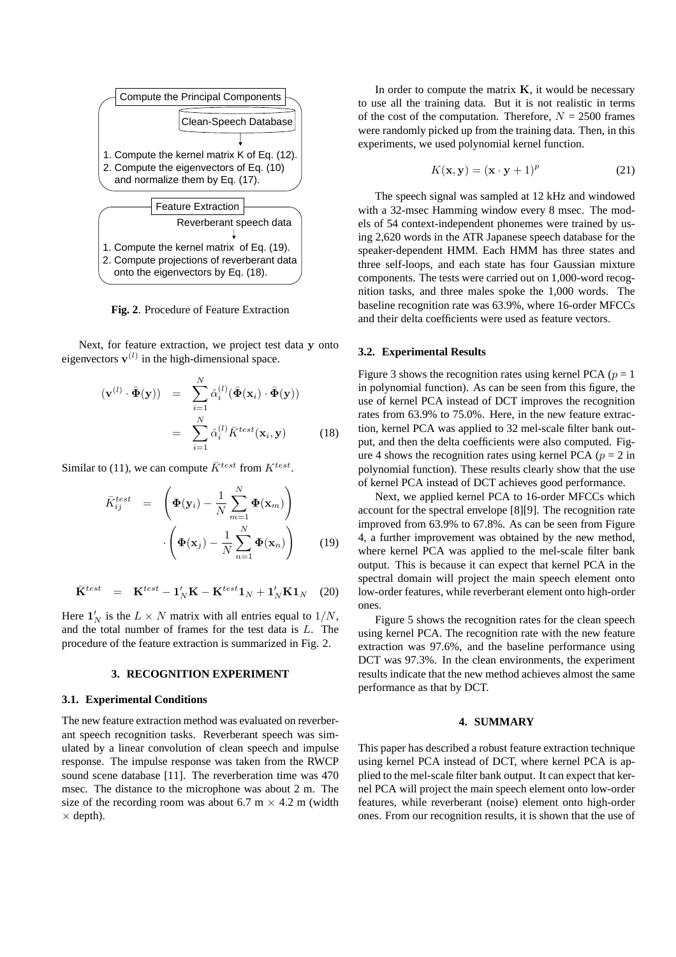

**Fig. 2**. Procedure of Feature Extraction

Next, for feature extraction, we project test data y onto eigenvectors  $\mathbf{v}^{(l)}$  in the high-dimensional space.

$$
(\mathbf{v}^{(l)} \cdot \bar{\mathbf{\Phi}}(\mathbf{y})) = \sum_{i=1}^{N} \hat{\alpha}_i^{(l)} (\bar{\mathbf{\Phi}}(\mathbf{x}_i) \cdot \bar{\mathbf{\Phi}}(\mathbf{y}))
$$

$$
= \sum_{i=1}^{N} \hat{\alpha}_i^{(l)} \bar{K}^{test}(\mathbf{x}_i, \mathbf{y}) \qquad (18)
$$

Similar to (11), we can compute  $\bar{K}^{test}$  from  $K^{test}$ .

$$
\bar{K}_{ij}^{test} = \left(\mathbf{\Phi}(\mathbf{y}_i) - \frac{1}{N} \sum_{m=1}^{N} \mathbf{\Phi}(\mathbf{x}_m)\right) \cdot \left(\mathbf{\Phi}(\mathbf{x}_j) - \frac{1}{N} \sum_{n=1}^{N} \mathbf{\Phi}(\mathbf{x}_n)\right) \tag{19}
$$

$$
\bar{\mathbf{K}}^{test} = \mathbf{K}^{test} - \mathbf{1}'_N \mathbf{K} - \mathbf{K}^{test} \mathbf{1}_N + \mathbf{1}'_N \mathbf{K} \mathbf{1}_N \quad (20)
$$

Here  $\mathbf{1}'_N$  is the  $L \times N$  matrix with all entries equal to  $1/N$ , and the total number of frames for the test data is L. The procedure of the feature extraction is summarized in Fig. 2.

#### **3. RECOGNITION EXPERIMENT**

#### **3.1. Experimental Conditions**

The new feature extraction method was evaluated on reverberant speech recognition tasks. Reverberant speech was simulated by a linear convolution of clean speech and impulse response. The impulse response was taken from the RWCP sound scene database [11]. The reverberation time was 470 msec. The distance to the microphone was about 2 m. The size of the recording room was about 6.7 m  $\times$  4.2 m (width  $\times$  depth).

In order to compute the matrix  $K$ , it would be necessary to use all the training data. But it is not realistic in terms of the cost of the computation. Therefore,  $N = 2500$  frames were randomly picked up from the training data. Then, in this experiments, we used polynomial kernel function.

$$
K(\mathbf{x}, \mathbf{y}) = (\mathbf{x} \cdot \mathbf{y} + 1)^p \tag{21}
$$

The speech signal was sampled at 12 kHz and windowed with a 32-msec Hamming window every 8 msec. The models of 54 context-independent phonemes were trained by using 2,620 words in the ATR Japanese speech database for the speaker-dependent HMM. Each HMM has three states and three self-loops, and each state has four Gaussian mixture components. The tests were carried out on 1,000-word recognition tasks, and three males spoke the 1,000 words. The baseline recognition rate was 63.9%, where 16-order MFCCs and their delta coefficients were used as feature vectors.

#### **3.2. Experimental Results**

Figure 3 shows the recognition rates using kernel PCA ( $p = 1$ ) in polynomial function). As can be seen from this figure, the use of kernel PCA instead of DCT improves the recognition rates from 63.9% to 75.0%. Here, in the new feature extraction, kernel PCA was applied to 32 mel-scale filter bank output, and then the delta coefficients were also computed. Figure 4 shows the recognition rates using kernel PCA ( $p = 2$  in polynomial function). These results clearly show that the use of kernel PCA instead of DCT achieves good performance.

Next, we applied kernel PCA to 16-order MFCCs which account for the spectral envelope [8][9]. The recognition rate improved from 63.9% to 67.8%. As can be seen from Figure 4, a further improvement was obtained by the new method, where kernel PCA was applied to the mel-scale filter bank output. This is because it can expect that kernel PCA in the spectral domain will project the main speech element onto low-order features, while reverberant element onto high-order ones.

Figure 5 shows the recognition rates for the clean speech using kernel PCA. The recognition rate with the new feature extraction was 97.6%, and the baseline performance using DCT was 97.3%. In the clean environments, the experiment results indicate that the new method achieves almost the same performance as that by DCT.

# **4. SUMMARY**

This paper has described a robust feature extraction technique using kernel PCA instead of DCT, where kernel PCA is applied to the mel-scale filter bank output. It can expect that kernel PCA will project the main speech element onto low-order features, while reverberant (noise) element onto high-order ones. From our recognition results, it is shown that the use of